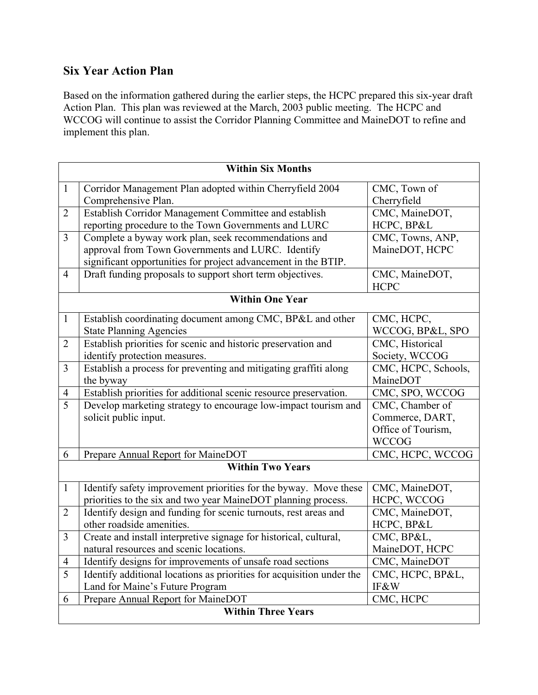## Six Year Action Plan

Based on the information gathered during the earlier steps, the HCPC prepared this six-year draft Action Plan. This plan was reviewed at the March, 2003 public meeting. The HCPC and WCCOG will continue to assist the Corridor Planning Committee and MaineDOT to refine and implement this plan.

| <b>Within Six Months</b>  |                                                                       |                     |  |
|---------------------------|-----------------------------------------------------------------------|---------------------|--|
| $\mathbf{1}$              | Corridor Management Plan adopted within Cherryfield 2004              | CMC, Town of        |  |
|                           | Comprehensive Plan.                                                   | Cherryfield         |  |
| $\overline{2}$            | Establish Corridor Management Committee and establish                 | CMC, MaineDOT,      |  |
|                           | reporting procedure to the Town Governments and LURC                  | HCPC, BP&L          |  |
| 3                         | Complete a byway work plan, seek recommendations and                  | CMC, Towns, ANP,    |  |
|                           | approval from Town Governments and LURC. Identify                     | MaineDOT, HCPC      |  |
|                           | significant opportunities for project advancement in the BTIP.        |                     |  |
| $\overline{4}$            | Draft funding proposals to support short term objectives.             | CMC, MaineDOT,      |  |
|                           |                                                                       | <b>HCPC</b>         |  |
| <b>Within One Year</b>    |                                                                       |                     |  |
| $\mathbf{1}$              | Establish coordinating document among CMC, BP&L and other             | CMC, HCPC,          |  |
|                           | <b>State Planning Agencies</b>                                        | WCCOG, BP&L, SPO    |  |
| $\overline{2}$            | Establish priorities for scenic and historic preservation and         | CMC, Historical     |  |
|                           | identify protection measures.                                         | Society, WCCOG      |  |
| $\overline{3}$            | Establish a process for preventing and mitigating graffiti along      | CMC, HCPC, Schools, |  |
|                           | the byway                                                             | MaineDOT            |  |
| $\overline{4}$            | Establish priorities for additional scenic resource preservation.     | CMC, SPO, WCCOG     |  |
| $\overline{5}$            | Develop marketing strategy to encourage low-impact tourism and        | CMC, Chamber of     |  |
|                           | solicit public input.                                                 | Commerce, DART,     |  |
|                           |                                                                       | Office of Tourism,  |  |
|                           |                                                                       | <b>WCCOG</b>        |  |
| 6                         | Prepare Annual Report for MaineDOT                                    | CMC, HCPC, WCCOG    |  |
| <b>Within Two Years</b>   |                                                                       |                     |  |
| $\mathbf{1}$              | Identify safety improvement priorities for the byway. Move these      | CMC, MaineDOT,      |  |
|                           | priorities to the six and two year MaineDOT planning process.         | HCPC, WCCOG         |  |
| $\overline{2}$            | Identify design and funding for scenic turnouts, rest areas and       | CMC, MaineDOT,      |  |
|                           | other roadside amenities.                                             | HCPC, BP&L          |  |
| 3                         | Create and install interpretive signage for historical, cultural,     | CMC, BP&L,          |  |
|                           | natural resources and scenic locations.                               | MaineDOT, HCPC      |  |
| 4                         | Identify designs for improvements of unsafe road sections             | CMC, MaineDOT       |  |
| $\overline{5}$            | Identify additional locations as priorities for acquisition under the | CMC, HCPC, BP&L,    |  |
|                           | Land for Maine's Future Program                                       | IF&W                |  |
| 6                         | Prepare Annual Report for MaineDOT                                    | CMC, HCPC           |  |
| <b>Within Three Years</b> |                                                                       |                     |  |